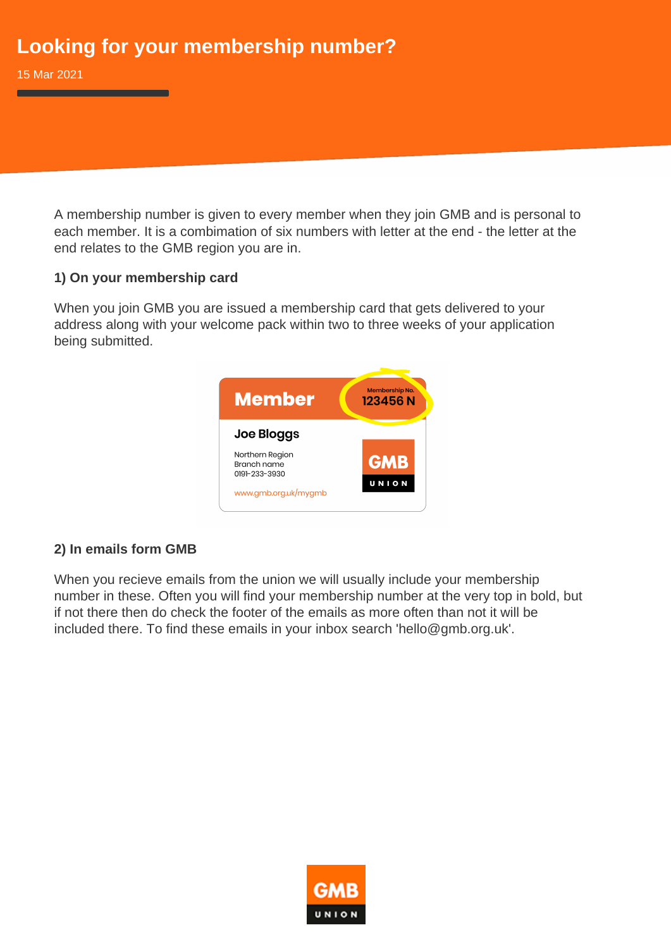A membership number is given to every member when they join GMB and is personal to each member. It is a combimation of six numbers with letter at the end - the letter at the end relates to the GMB region you are in.

## **1) On your membership card**

When you join GMB you are issued a membership card that gets delivered to your address along with your welcome pack within two to three weeks of your application being submitted.



## **2) In emails form GMB**

When you recieve emails from the union we will usually include your membership number in these. Often you will find your membership number at the very top in bold, but if not there then do check the footer of the emails as more often than not it will be included there. To find these emails in your inbox search 'hello@gmb.org.uk'.

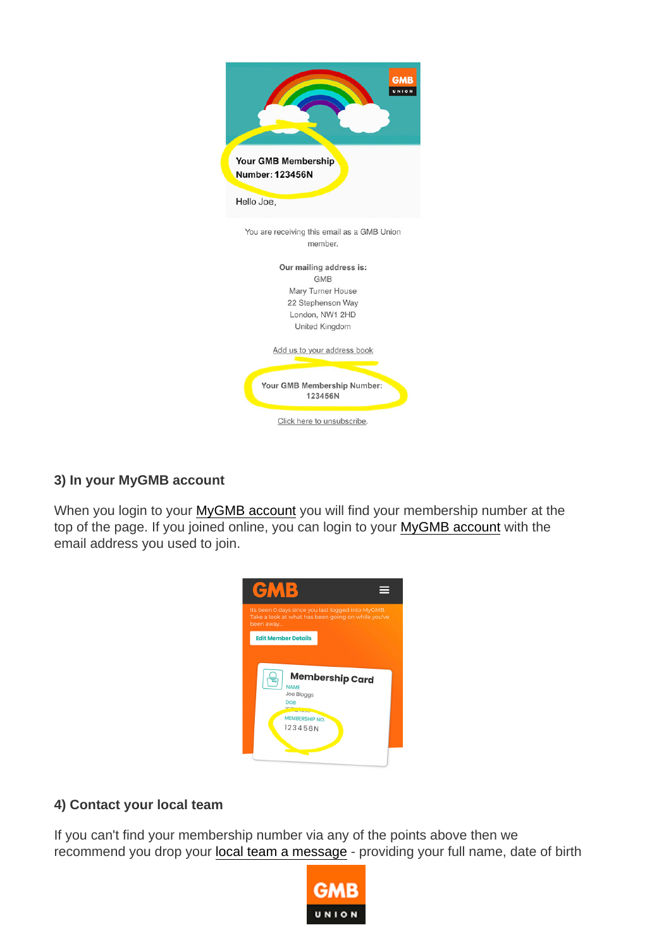3) In your MyGMB account

When you login to your [MyGMB account](https://www.gmb.org.uk/mygmb) you will find your membership number at the top of the page. If you joined online, you can login to your [MyGMB account](https://www.gmb.org.uk/mygmb) with the email address you used to join.

4) Contact your local team

If you can't find your membership number via any of the points above then we recommend you drop your [local team a message](https://www.gmb.org.uk/gmb-regions) - providing your full name, date of birth